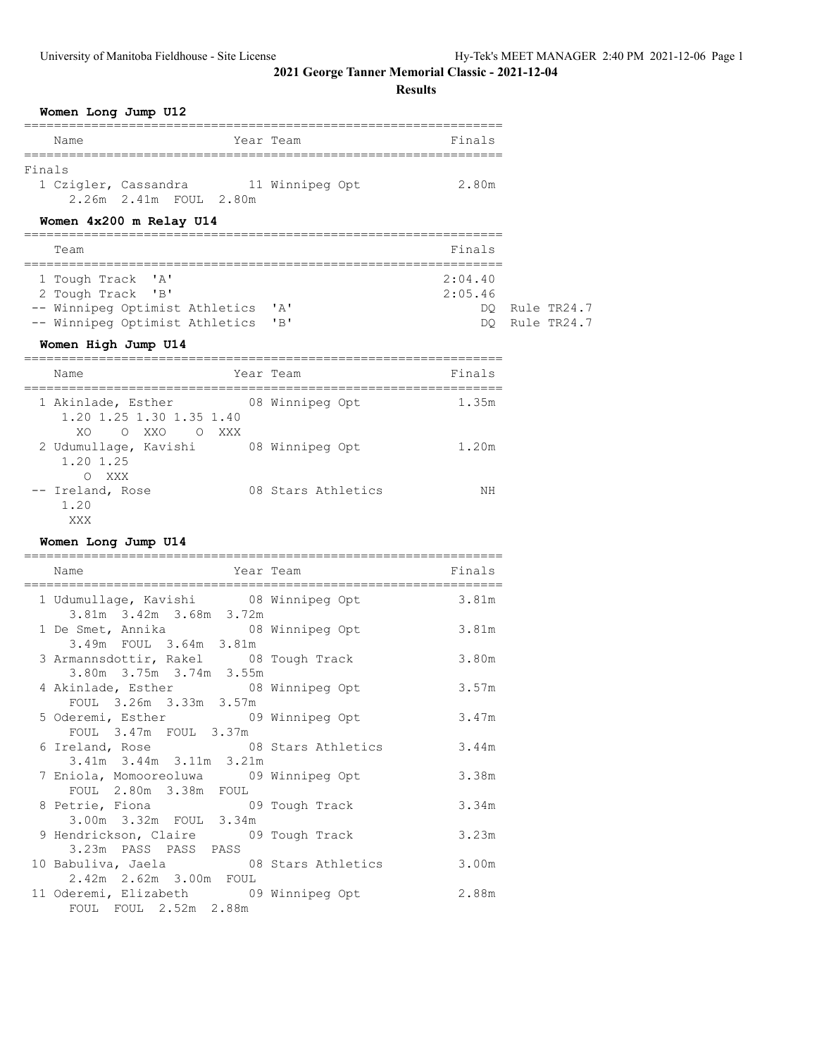|        | Women Long Jump U12                                                                                                |                    |                                |                            |
|--------|--------------------------------------------------------------------------------------------------------------------|--------------------|--------------------------------|----------------------------|
|        | Name<br>Year Team                                                                                                  |                    | Finals                         |                            |
| Finals | 1 Czigler, Cassandra 11 Winnipeg Opt<br>2.26m 2.41m FOUL 2.80m<br>Women 4x200 m Relay U14                          |                    | 2.80m                          |                            |
|        | Team                                                                                                               |                    | Finals                         |                            |
|        | 1 Tough Track 'A'<br>2 Tough Track 'B'<br>-- Winnipeg Optimist Athletics 'A'<br>-- Winnipeg Optimist Athletics 'B' |                    | 2:04.40<br>2:05.46<br>DO<br>DO | Rule TR24.7<br>Rule TR24.7 |
|        | Women High Jump U14                                                                                                |                    |                                |                            |
|        | Name                                                                                                               | Year Team          | Finals                         |                            |
|        | 1 Akinlade, Esther<br>1.20 1.25 1.30 1.35 1.40<br>XO.<br>O XXO O XXX                                               | 08 Winnipeg Opt    | 1.35m                          |                            |
|        | 2 Udumullage, Kavishi 08 Winnipeg Opt<br>1.20 1.25<br>O XXX                                                        |                    | 1.20m                          |                            |
|        | -- Ireland, Rose<br>1.20<br>XXX                                                                                    | 08 Stars Athletics | ΝH                             |                            |
|        | Women Long Jump U14                                                                                                |                    |                                |                            |
|        | Name                                                                                                               | Year Team          | Finals                         |                            |
|        | 1 Udumullage, Kavishi (08 Winnipeg Opt 3.81m)<br>3.81m 3.42m 3.68m 3.72m                                           |                    |                                |                            |
|        | 1 De Smet, Annika (18 Winnipeg Opt<br>3.49m FOUL 3.64m 3.81m                                                       |                    | 3.81m                          |                            |
|        | 3 Armannsdottir, Rakel 08 Tough Track<br>3.80m 3.75m 3.74m 3.55m                                                   |                    | 3.80m                          |                            |
|        | 4 Akinlade, Esther 68 Winnipeg Opt<br>FOUL 3.26m 3.33m 3.57m                                                       |                    | 3.57m                          |                            |
|        | 5 Oderemi, Esther 69 Winnipeg Opt<br>FOUL 3.47m FOUL 3.37m                                                         |                    | 3.47m                          |                            |
|        | 6 Ireland, Rose 6 8 08 Stars Athletics 3.44m<br>3.41m 3.44m 3.11m 3.21m                                            |                    |                                |                            |
|        | 7 Eniola, Momooreoluwa 09 Winnipeg Opt<br>FOUL 2.80m 3.38m FOUL<br>8 Petrie, Fiona                                 | 09 Tough Track     | 3.38m<br>3.34m                 |                            |
|        | 3.00m 3.32m FOUL 3.34m<br>9 Hendrickson, Claire 09 Tough Track                                                     |                    | 3.23m                          |                            |
|        | 3.23m PASS PASS PASS<br>10 Babuliva, Jaela (28 Stars Athletics 3.00m)                                              |                    |                                |                            |
|        | 2.42m 2.62m 3.00m FOUL<br>11 Oderemi, Elizabeth 09 Winnipeg Opt<br>FOUL FOUL 2.52m 2.88m                           |                    | 2.88m                          |                            |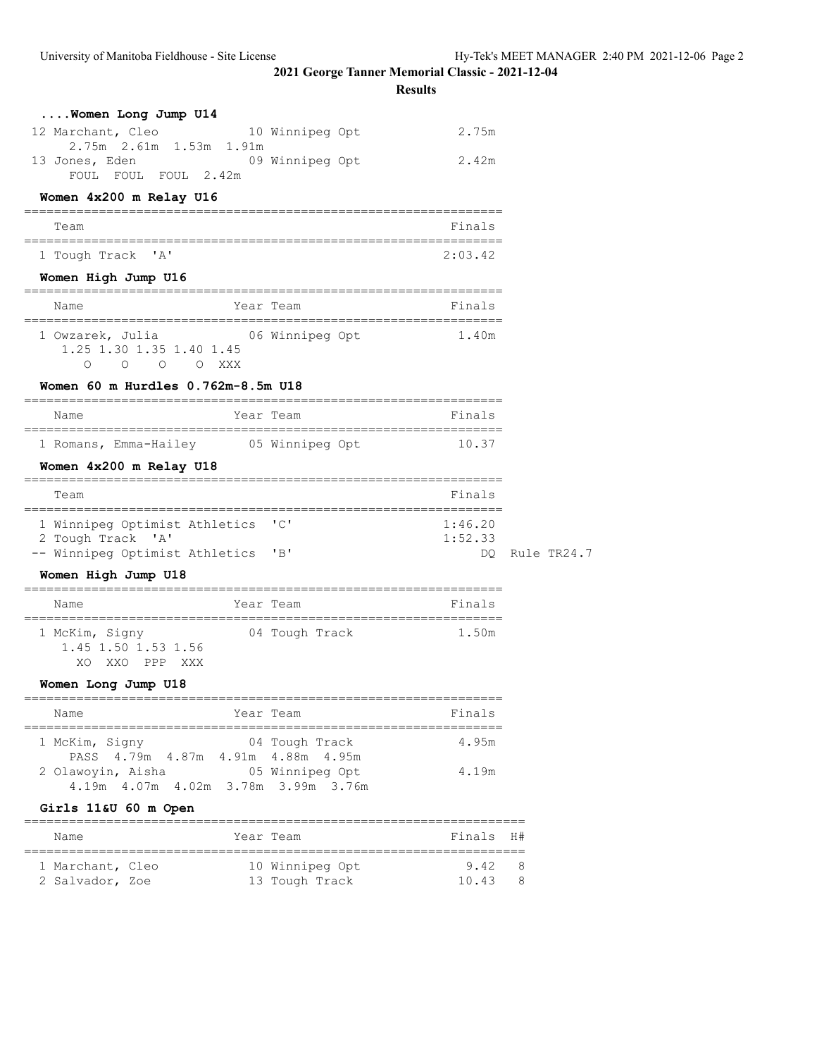**Results**

| Women Long Jump U14                                                         |                                             |             |
|-----------------------------------------------------------------------------|---------------------------------------------|-------------|
| 12 Marchant, Cleo                                                           | 2.75m<br>10 Winnipeg Opt                    |             |
| 2.75m 2.61m 1.53m 1.91m<br>13 Jones, Eden 13 09 Winnipeg Opt                | 2.42m                                       |             |
| FOUL FOUL FOUL 2.42m                                                        |                                             |             |
| Women 4x200 m Relay U16                                                     |                                             |             |
| Team                                                                        | Finals                                      |             |
| 1 Tough Track 'A'                                                           | 2:03.42                                     |             |
| Women High Jump U16                                                         |                                             |             |
| Name                                                                        | Year Team<br>Finals                         |             |
| 1 Owzarek, Julia 66 Winnipeg Opt<br>1.25 1.30 1.35 1.40 1.45<br>0 0 0 0 XXX | 1.40m                                       |             |
| Women 60 m Hurdles 0.762m-8.5m U18                                          |                                             |             |
| Name                                                                        | Year Team<br>Finals                         |             |
|                                                                             | 1 Romans, Emma-Hailey 05 Winnipeg Opt 10.37 |             |
| Women 4x200 m Relay U18                                                     |                                             |             |
|                                                                             |                                             |             |
| Team                                                                        | Finals                                      |             |
| 1 Winnipeg Optimist Athletics 'C'<br>2 Tough Track 'A'                      | 1:46.20<br>1:52.33                          |             |
| -- Winnipeg Optimist Athletics                                              | "B"<br>DO.                                  | Rule TR24.7 |
| Women High Jump U18                                                         |                                             |             |
| Name<br>.====================                                               | Year Team<br>Finals                         |             |
| 1.45 1.50 1.53 1.56<br>XO XXO PPP XXX                                       | 1 McKim, Signy 64 Tough Track 1.50m         |             |
| Women Long Jump U18                                                         |                                             |             |
| Name                                                                        | Finals<br>Year Team                         |             |
| 1 McKim, Signy                                                              | 04 Tough Track<br>4.95m                     |             |
| PASS 4.79m 4.87m 4.91m 4.88m 4.95m<br>2 Olawoyin, Aisha (05 Winnipeg Opt)   | 4.19m                                       |             |
| 4.19m  4.07m  4.02m  3.78m  3.99m  3.76m<br>Girls 11&U 60 m Open            |                                             |             |
| ==========<br>Name                                                          | Year Team<br>Finals H#                      |             |

 1 Marchant, Cleo 10 Winnipeg Opt 9.42 8 2 Salvador, Zoe 13 Tough Track 10.43 8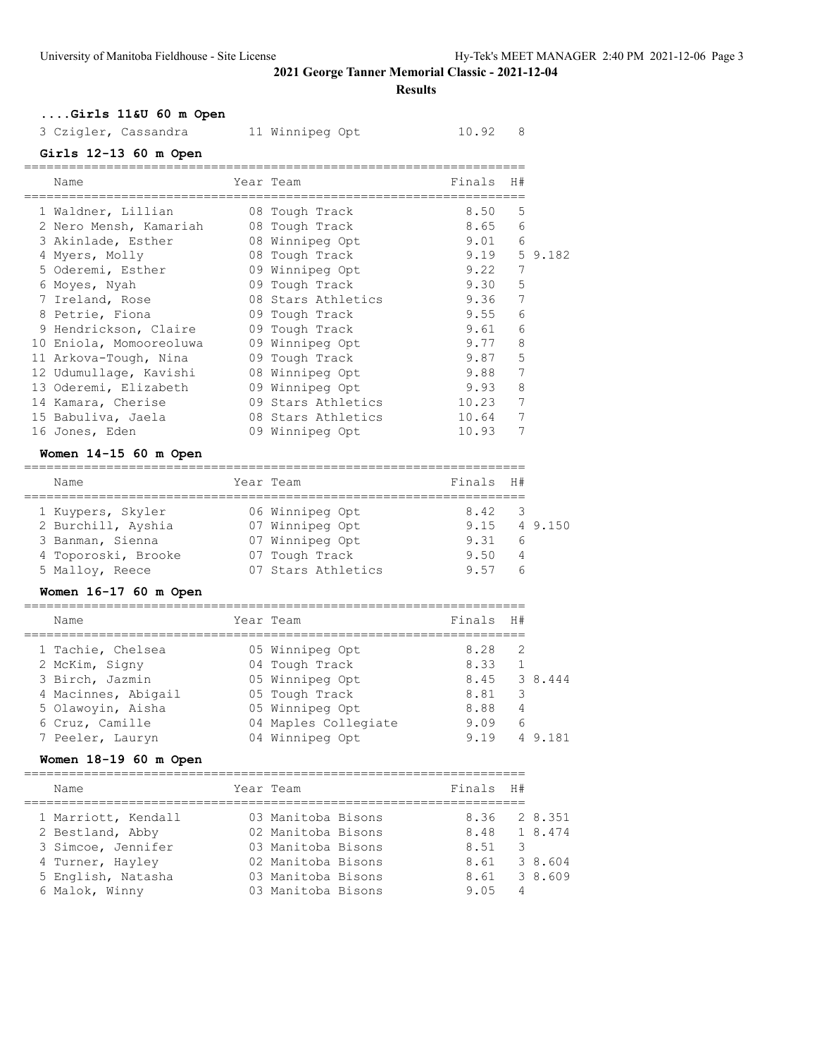**Results**

# **....Girls 11&U 60 m Open**

| 3 Czigler, Cassandra | 11 Winnipeg Opt | 10.92 8 |
|----------------------|-----------------|---------|
|----------------------|-----------------|---------|

# **Girls 12-13 60 m Open**

| Name                    | Year Team          | Finals H# |   |                  |
|-------------------------|--------------------|-----------|---|------------------|
| 1 Waldner, Lillian      | 08 Tough Track     | 8.50      | 5 |                  |
| 2 Nero Mensh, Kamariah  | 08 Tough Track     | 8.65      | 6 |                  |
| 3 Akinlade, Esther      | 08 Winnipeg Opt    | 9.01      | 6 |                  |
| 4 Myers, Molly          | 08 Tough Track     |           |   | $9.19$ 5 $9.182$ |
| 5 Oderemi, Esther       | 09 Winnipeg Opt    | 9.22      | 7 |                  |
| 6 Moyes, Nyah           | 09 Tough Track     | 9.30      | 5 |                  |
| 7 Ireland, Rose         | 08 Stars Athletics | 9.36      | 7 |                  |
| 8 Petrie, Fiona         | 09 Tough Track     | 9.55      | 6 |                  |
| 9 Hendrickson, Claire   | 09 Tough Track     | 9.61      | 6 |                  |
| 10 Eniola, Momooreoluwa | 09 Winnipeg Opt    | 9.77      | 8 |                  |
| 11 Arkova-Tough, Nina   | 09 Tough Track     | 9.87      | 5 |                  |
| 12 Udumullaqe, Kavishi  | 08 Winnipeg Opt    | 9.88      | 7 |                  |
| 13 Oderemi, Elizabeth   | 09 Winnipeg Opt    | 9.93      | 8 |                  |
| 14 Kamara, Cherise      | 09 Stars Athletics | 10.23     | 7 |                  |
| 15 Babuliva, Jaela      | 08 Stars Athletics | 10.64     | 7 |                  |
| 16 Jones, Eden          | 09 Winnipeg Opt    | 10.93     | 7 |                  |
| .                       |                    |           |   |                  |

#### **Women 14-15 60 m Open**

| Name                |  | Year Team          | Finals H# |                |                            |  |  |
|---------------------|--|--------------------|-----------|----------------|----------------------------|--|--|
|                     |  |                    |           |                |                            |  |  |
| 1 Kuypers, Skyler   |  | 06 Winnipeg Opt    | 8.42      | $\overline{3}$ |                            |  |  |
| 2 Burchill, Ayshia  |  | 07 Winnipeg Opt    |           |                | $9.15 \quad 4 \quad 9.150$ |  |  |
| 3 Banman, Sienna    |  | 07 Winnipeg Opt    | 9.31      | - 6            |                            |  |  |
| 4 Toporoski, Brooke |  | 07 Tough Track     | 9.50      | 4              |                            |  |  |
| 5 Malloy, Reece     |  | 07 Stars Athletics | 957       |                |                            |  |  |

#### **Women 16-17 60 m Open**

| Name                | Year Team            | Finals | H#            |         |
|---------------------|----------------------|--------|---------------|---------|
| 1 Tachie, Chelsea   | 05 Winnipeg Opt      | 8.28   | $\mathcal{L}$ |         |
| 2 McKim, Signy      | 04 Tough Track       | 8.33   |               |         |
| 3 Birch, Jazmin     | 05 Winnipeg Opt      | 8.45   |               | 3 8,444 |
| 4 Macinnes, Abigail | 05 Tough Track       | 8.81   | 3             |         |
| 5 Olawoyin, Aisha   | 05 Winnipeg Opt      | 8.88   | 4             |         |
| 6 Cruz, Camille     | 04 Maples Collegiate | 9.09   | 6             |         |
| 7 Peeler, Lauryn    | 04 Winnipeg Opt      | 9.19   |               | 181     |

# **Women 18-19 60 m Open**

| Name                | Year Team          | Finals       | - H # |         |
|---------------------|--------------------|--------------|-------|---------|
| 1 Marriott, Kendall | 03 Manitoba Bisons | 8.36         |       | 2 8.351 |
| 2 Bestland, Abby    | 02 Manitoba Bisons | 8.48 1 8.474 |       |         |
| 3 Simcoe, Jennifer  | 03 Manitoba Bisons | 8.51         |       |         |
| 4 Turner, Hayley    | 02 Manitoba Bisons | 8.61         |       | 3 8,604 |
| 5 English, Natasha  | 03 Manitoba Bisons | 8.61         |       | 3 8,609 |
| 6 Malok, Winny      | 03 Manitoba Bisons | 9.05         | 4     |         |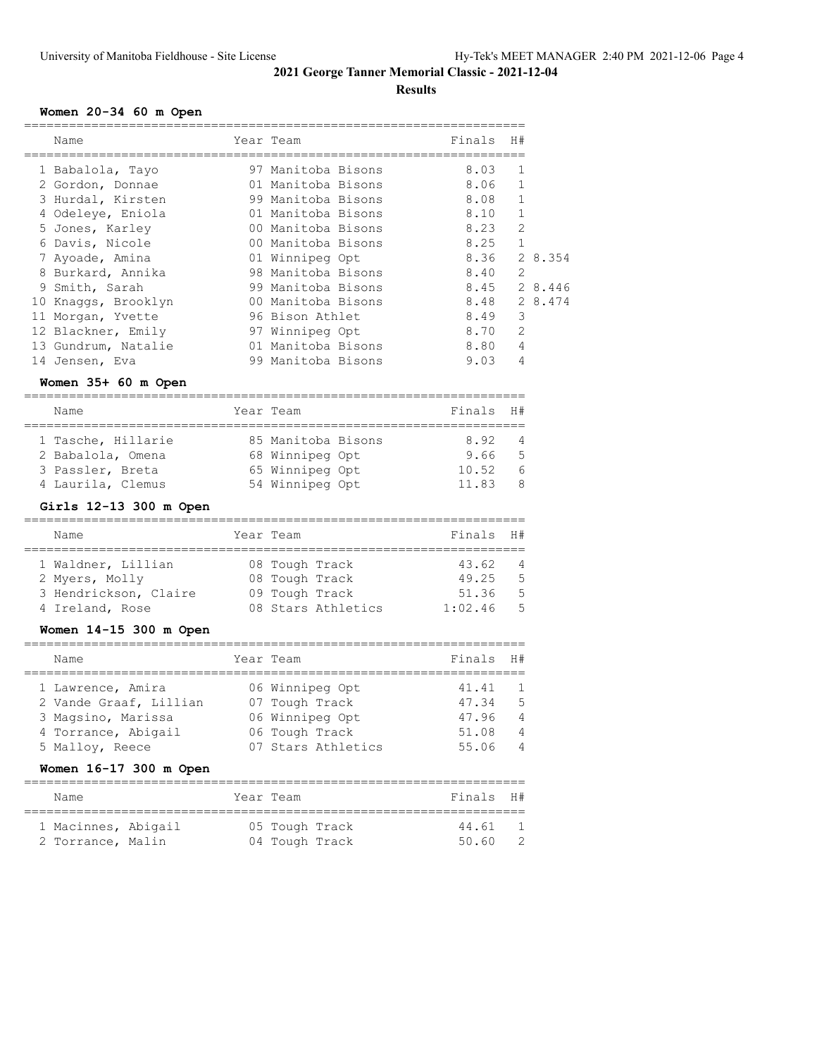# **Results**

# **Women 20-34 60 m Open**

| Name                | Year Team          | Finals | H#             |         |
|---------------------|--------------------|--------|----------------|---------|
| 1 Babalola, Tayo    | 97 Manitoba Bisons | 8.03   | 1              |         |
| 2 Gordon, Donnae    | 01 Manitoba Bisons | 8.06   | 1              |         |
| 3 Hurdal, Kirsten   | 99 Manitoba Bisons | 8.08   | $\mathbf{1}$   |         |
| 4 Odeleye, Eniola   | 01 Manitoba Bisons | 8.10   | 1              |         |
| 5 Jones, Karley     | 00 Manitoba Bisons | 8.23   | $\overline{2}$ |         |
| 6 Davis, Nicole     | 00 Manitoba Bisons | 8.25   | $\mathbf{1}$   |         |
| 7 Ayoade, Amina     | 01 Winnipeg Opt    | 8.36   |                | 2 8.354 |
| 8 Burkard, Annika   | 98 Manitoba Bisons | 8.40   | 2              |         |
| 9 Smith, Sarah      | 99 Manitoba Bisons | 8.45   |                | 2 8.446 |
| 10 Knaggs, Brooklyn | 00 Manitoba Bisons | 8.48   |                | 2 8.474 |
| 11 Morgan, Yvette   | 96 Bison Athlet    | 8.49   | 3              |         |
| 12 Blackner, Emily  | 97 Winnipeg Opt    | 8.70   | $\mathcal{L}$  |         |
| 13 Gundrum, Natalie | 01 Manitoba Bisons | 8.80   | $\overline{4}$ |         |
| 14 Jensen, Eva      | 99 Manitoba Bisons | 9.03   | 4              |         |

# **Women 35+ 60 m Open**

| Name |                                                                                  |           | Finals                                                                      | H#             |
|------|----------------------------------------------------------------------------------|-----------|-----------------------------------------------------------------------------|----------------|
|      |                                                                                  |           |                                                                             |                |
|      |                                                                                  |           | 8.92                                                                        | $\overline{4}$ |
|      |                                                                                  |           | 9.66                                                                        | - 5            |
|      |                                                                                  |           | 10.52                                                                       | - 6            |
|      |                                                                                  |           | 11.83                                                                       | 8              |
|      | 1 Tasche, Hillarie<br>2 Babalola, Omena<br>3 Passler, Breta<br>4 Laurila, Clemus | Year Team | 85 Manitoba Bisons<br>68 Winnipeg Opt<br>65 Winnipeg Opt<br>54 Winnipeg Opt |                |

# **Girls 12-13 300 m Open**

| Name                  | Year Team      |                    | Finals H# |                |
|-----------------------|----------------|--------------------|-----------|----------------|
|                       |                |                    |           |                |
| 1 Waldner, Lillian    | 08 Tough Track |                    | 43.62     | $\overline{4}$ |
| 2 Myers, Molly        | 08 Tough Track |                    | 49.25     | - 5            |
| 3 Hendrickson, Claire | 09 Tough Track |                    | 51.36     | - 5            |
| 4 Ireland, Rose       |                | 08 Stars Athletics | 1:02.46   | - 5            |

#### **Women 14-15 300 m Open**

| Name                                                                                                        | Year Team                                                                                    | Finals                                    | H#                                                                          |
|-------------------------------------------------------------------------------------------------------------|----------------------------------------------------------------------------------------------|-------------------------------------------|-----------------------------------------------------------------------------|
| 1 Lawrence, Amira<br>2 Vande Graaf, Lillian<br>3 Magsino, Marissa<br>4 Torrance, Abigail<br>5 Malloy, Reece | 06 Winnipeg Opt<br>07 Tough Track<br>06 Winnipeg Opt<br>06 Tough Track<br>07 Stars Athletics | 41.41<br>47.34<br>47.96<br>51.08<br>55.06 | $\overline{1}$<br>- 5<br>$\overline{4}$<br>$\overline{4}$<br>$\overline{4}$ |

# **Women 16-17 300 m Open**

| Name                                     |  | Year Team                        | Finals H#      |    |
|------------------------------------------|--|----------------------------------|----------------|----|
| 1 Macinnes, Abigail<br>2 Torrance, Malin |  | 05 Tough Track<br>04 Tough Track | 44.61<br>50.60 | -2 |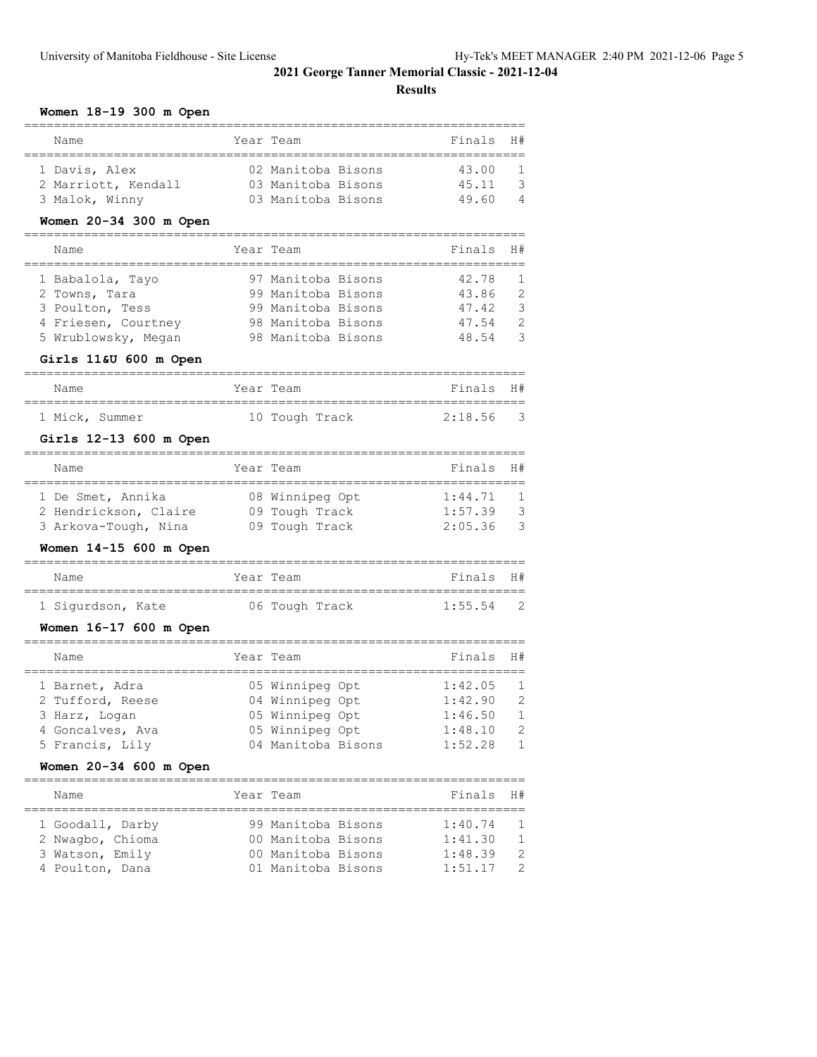|  | Women 18-19 300 m Open |  |  |
|--|------------------------|--|--|
|--|------------------------|--|--|

| women<br>18-19 300 m Open |      |                    |         |                |
|---------------------------|------|--------------------|---------|----------------|
| Name<br>=======           | Year | Team               | Finals  | H#             |
| 1 Davis, Alex             |      | 02 Manitoba Bisons | 43.00   | 1              |
| 2 Marriott, Kendall       |      | 03 Manitoba Bisons | 45.11   | 3              |
| 3 Malok, Winny            |      | 03 Manitoba Bisons | 49.60   | 4              |
| Women 20-34 300 m Open    |      |                    |         |                |
| Name<br>============      | Year | Team               | Finals  | H#             |
| 1 Babalola, Tayo          |      | 97 Manitoba Bisons | 42.78   | 1              |
| 2 Towns, Tara             |      | 99 Manitoba Bisons | 43.86   | $\overline{2}$ |
| 3 Poulton, Tess           |      | 99 Manitoba Bisons | 47.42   | 3              |
| 4 Friesen, Courtney       |      | 98 Manitoba Bisons | 47.54   | $\overline{c}$ |
| 5 Wrublowsky, Megan       |      | 98 Manitoba Bisons | 48.54   | 3              |
| Girls 11&U 600 m Open     |      |                    |         |                |
| Name                      |      | Year Team          | Finals  | H#             |
| 1 Mick, Summer            |      | 10 Tough Track     | 2:18.56 | 3              |
| Girls 12-13 600 m Open    |      |                    |         |                |
| Name                      |      | Year Team          | Finals  | H#             |
| 1 De Smet, Annika         |      | 08 Winnipeg Opt    | 1:44.71 | 1              |
| 2 Hendrickson, Claire     |      | 09 Tough Track     | 1:57.39 | 3              |
| 3 Arkova-Tough, Nina      |      | 09 Tough Track     | 2:05.36 | 3              |
| Women 14-15 600 m Open    |      |                    |         |                |
| Name                      |      | Year Team          | Finals  | H#             |
| 1 Sigurdson, Kate         |      | 06 Tough Track     | 1:55.54 | 2              |
| Women 16-17 600 m Open    |      |                    |         |                |
| Name                      |      | Year Team          | Finals  | H#             |
| 1 Barnet, Adra            |      | 05 Winnipeg Opt    | 1:42.05 | 1              |
| 2 Tufford, Reese          |      | 04 Winnipeg Opt    | 1:42.90 | 2              |
| 3 Harz, Logan             |      | 05 Winnipeg Opt    | 1:46.50 | 1              |
| 4 Goncalves, Ava          |      | 05 Winnipeg Opt    | 1:48.10 | 2              |
| 5 Francis, Lily           |      | 04 Manitoba Bisons | 1:52.28 | $\mathbf 1$    |
| Women 20-34 600 m Open    |      |                    |         |                |
| Name                      |      | Year Team          | Finals  | H#             |
| 1 Goodall, Darby          |      | 99 Manitoba Bisons | 1:40.74 | 1              |
| 2 Nwagbo, Chioma          |      | 00 Manitoba Bisons | 1:41.30 | 1              |
| 3 Watson, Emily           |      | 00 Manitoba Bisons | 1:48.39 | $\overline{2}$ |
| 4 Poulton, Dana           |      | 01 Manitoba Bisons | 1:51.17 | 2              |
|                           |      |                    |         |                |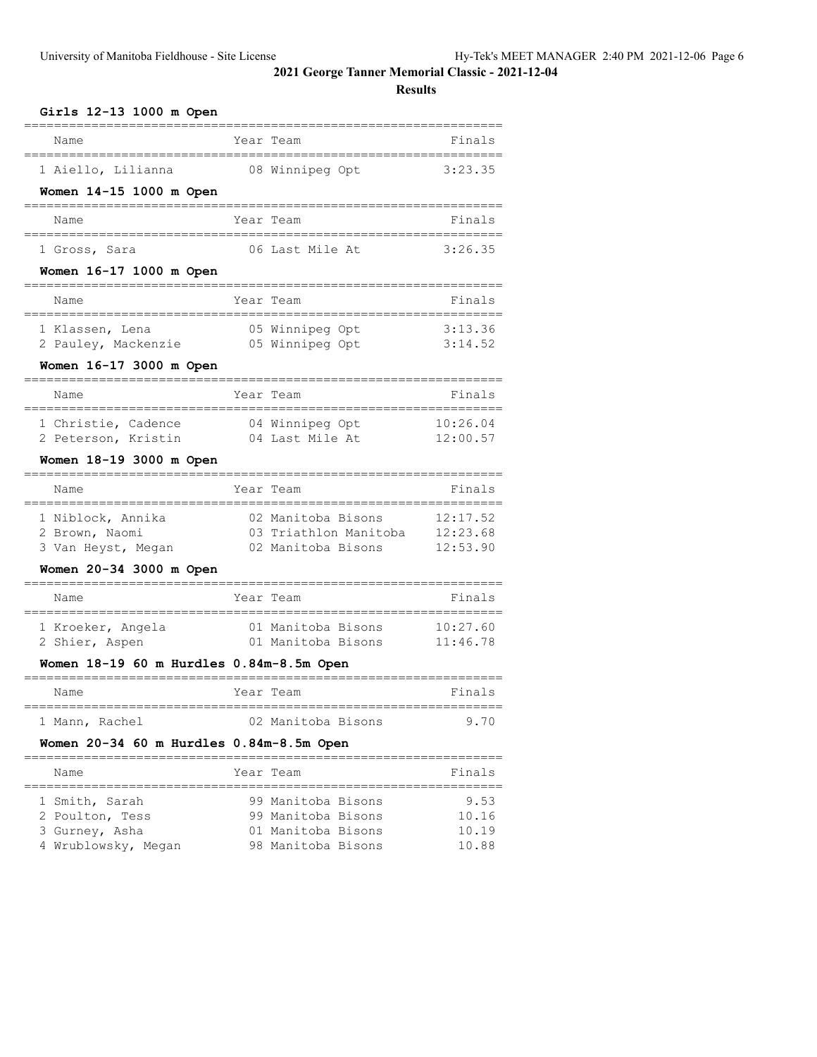| Girls 12-13 1000 m Open                        |                                             |                      |
|------------------------------------------------|---------------------------------------------|----------------------|
| Name                                           | Year Team                                   | Finals               |
| 1 Aiello, Lilianna                             | 08 Winnipeg Opt                             | 3:23.35              |
| Women 14-15 1000 m Open                        |                                             |                      |
| Name                                           | Year Team                                   | Finals               |
| 1 Gross, Sara                                  | 06 Last Mile At                             | 3:26.35              |
| Women 16-17 1000 m Open                        |                                             |                      |
| Name                                           | Year Team                                   | Finals               |
| 1 Klassen, Lena                                | 05 Winnipeg Opt                             | 3:13.36<br>3:14.52   |
| 2 Pauley, Mackenzie<br>Women 16-17 3000 m Open | 05 Winnipeg Opt                             |                      |
|                                                |                                             |                      |
| Name                                           | Year Team                                   | Finals               |
| 1 Christie, Cadence<br>2 Peterson, Kristin     | 04 Winnipeg Opt<br>04 Last Mile At          | 10:26.04<br>12:00.57 |
| Women 18-19 3000 m Open                        |                                             |                      |
|                                                |                                             |                      |
| Name                                           | Year Team                                   | Finals               |
|                                                |                                             |                      |
| 1 Niblock, Annika                              | 02 Manitoba Bisons                          | 12:17.52             |
| 2 Brown, Naomi                                 | 03 Triathlon Manitoba<br>02 Manitoba Bisons | 12:23.68<br>12:53.90 |
| 3 Van Heyst, Megan<br>Women 20-34 3000 m Open  |                                             |                      |
| Name                                           | Year Team                                   | Finals               |
| 1 Kroeker, Angela                              | 01 Manitoba Bisons                          | 10:27.60             |
| 2 Shier, Aspen                                 | 01 Manitoba Bisons                          | 11:46.78             |
| Women 18-19 60 m Hurdles 0.84m-8.5m Open       |                                             |                      |
| Name                                           | Year Team                                   | Finals               |
| 1 Mann, Rachel                                 | 02 Manitoba Bisons                          | 9.70                 |
| Women 20-34 60 m Hurdles 0.84m-8.5m Open       |                                             |                      |
| Name                                           | Year Team                                   | Finals               |
| 1 Smith, Sarah                                 | 99 Manitoba Bisons                          | 9.53                 |
| 2 Poulton, Tess<br>3 Gurney, Asha              | 99 Manitoba Bisons<br>01 Manitoba Bisons    | 10.16<br>10.19       |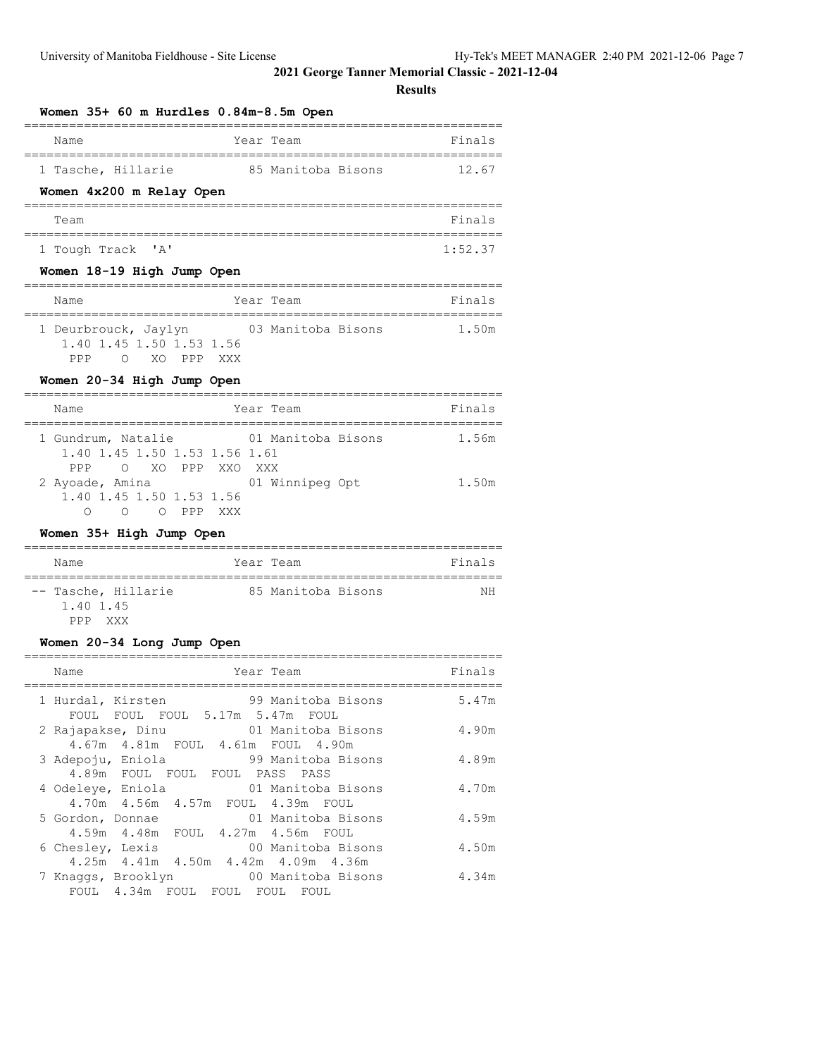#### **Results**

| Women 35+ 60 m Hurdles 0.84m-8.5m Open   |         |
|------------------------------------------|---------|
| Year Team<br>Name                        | Finals  |
| 1 Tasche, Hillarie<br>85 Manitoba Bisons | 12.67   |
| Women 4x200 m Relay Open                 |         |
| Team                                     | Finals  |
| 1 Tough Track 'A'                        | 1:52.37 |
| Women 18-19 High Jump Open               |         |

| Name                 |                          |            |  | Year Team          |  | Finals |
|----------------------|--------------------------|------------|--|--------------------|--|--------|
|                      |                          |            |  |                    |  |        |
| 1 Deurbrouck, Jaylyn |                          |            |  | 03 Manitoba Bisons |  | 1.50m  |
|                      | 1.40 1.45 1.50 1.53 1.56 |            |  |                    |  |        |
| PPP                  |                          | XO PPP XXX |  |                    |  |        |

#### **Women 20-34 High Jump Open**

| Name                                                                           | Year Team          | Finals |
|--------------------------------------------------------------------------------|--------------------|--------|
| 1 Gundrum, Natalie<br>1.40 1.45 1.50 1.53 1.56 1.61<br>O XO PPP XXO XXX<br>PPP | 01 Manitoba Bisons | 1.56m  |
| 2 Ayoade, Amina<br>1.40 1.45 1.50 1.53 1.56<br>∩<br>n ppp<br>∩<br>XXX          | 01 Winnipeg Opt    | 1.50m  |

# **Women 35+ High Jump Open**

| Name                                                   | Year Team          | Finals |
|--------------------------------------------------------|--------------------|--------|
| -- Tasche, Hillarie<br>1.40 1.45<br><b>XXX</b><br>PPP. | 85 Manitoba Bisons | ΝH     |

# **Women 20-34 Long Jump Open**

| Name<br>Year Team                                                                                                      | Finals |
|------------------------------------------------------------------------------------------------------------------------|--------|
| 1 Hurdal, Kirsten 59 Manitoba Bisons<br>FOUL FOUL FOUL 5.17m 5.47m FOUL                                                | 5.47m  |
| 2 Rajapakse, Dinu (01 Manitoba Bisons<br>4.67m  4.81m  FOUL  4.61m  FOUL  4.90m                                        | 4.90m  |
| 3 Adepoju, Eniola<br>99 Manitoba Bisons<br>4.89m FOUL FOUL FOUL PASS PASS                                              | 4.89m  |
| 4 Odeleye, Eniola 61 Manitoba Bisons<br>4.70m  4.56m  4.57m  FOUL  4.39m  FOUL                                         | 4.70m  |
| 01 Manitoba Bisons<br>5 Gordon, Donnae                                                                                 | 4.59m  |
| 4.59m  4.48m  FOUL  4.27m  4.56m  FOUL<br>00 Manitoba Bisons<br>6 Chesley, Lexis                                       | 4.50m  |
| 4.25m  4.41m  4.50m  4.42m  4.09m  4.36m<br>7 Knaggs, Brooklyn 60 Manitoba Bisons<br>FOUL 4.34m FOUL FOUL FOUL<br>FOUL | 4.34m  |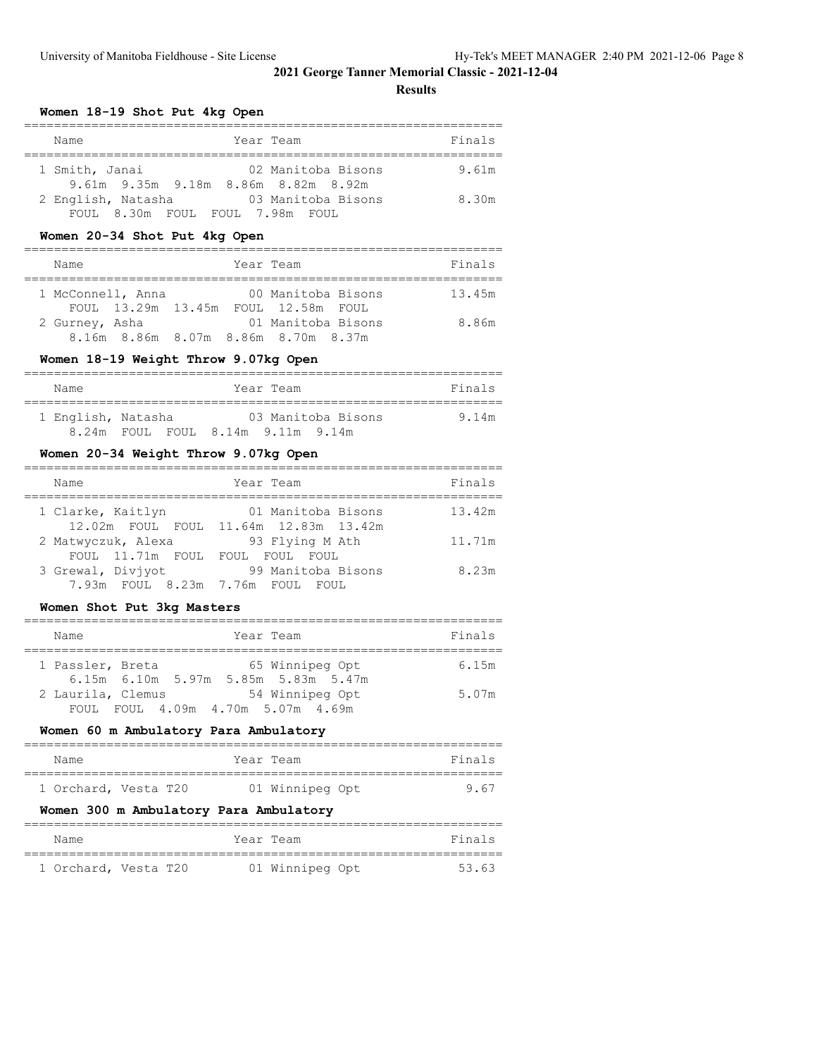#### **Results**

**Women 18-19 Shot Put 4kg Open**

| Year Team<br>Name                                                           | Finals |
|-----------------------------------------------------------------------------|--------|
| 1 Smith, Janai<br>02 Manitoba Bisons<br>9.61m 9.35m 9.18m 8.86m 8.82m 8.92m | 9.61m  |
| 03 Manitoba Bisons<br>2 English, Natasha<br>FOUL 8.30m FOUL FOUL 7.98m FOUL | 8.30m  |

# **Women 20-34 Shot Put 4kg Open**

| Name              |  | Year Team |                                                           | Finals |
|-------------------|--|-----------|-----------------------------------------------------------|--------|
| 1 McConnell, Anna |  |           | 00 Manitoba Bisons<br>FOUL 13.29m 13.45m FOUL 12.58m FOUL | 13.45m |
| 2 Gurney, Asha    |  |           | 01 Manitoba Bisons<br>8.16m 8.86m 8.07m 8.86m 8.70m 8.37m | 8.86m  |

# **Women 18-19 Weight Throw 9.07kg Open**

| Name               | Year Team                   | Finals |
|--------------------|-----------------------------|--------|
| 1 English, Natasha | 03 Manitoba Bisons          | 9.14m  |
| 8 24m              | FOUL FOUL 8.14m 9.11m 9.14m |        |

#### **Women 20-34 Weight Throw 9.07kg Open**

| Name                                             | Year Team                                                   | Finals |
|--------------------------------------------------|-------------------------------------------------------------|--------|
| 1 Clarke, Kaitlyn                                | 01 Manitoba Bisons<br>12.02m FOUL FOUL 11.64m 12.83m 13.42m | 13.42m |
| 2 Matwyczuk, Alexa<br>FOUL 11.71m FOUL FOUL FOUL | 93 Flying M Ath<br>FOUL.                                    | 11.71m |
| 3 Grewal, Divivot<br>7.93m FOUL 8.23m 7.76m FOUL | 99 Manitoba Bisons<br>FOUL.                                 | 8.23m  |
|                                                  |                                                             |        |

#### **Women Shot Put 3kg Masters**

| Name                                                    | Year Team                                       | Finals |
|---------------------------------------------------------|-------------------------------------------------|--------|
| 1 Passler, Breta<br>6.15m 6.10m 5.97m 5.85m 5.83m 5.47m | 65 Winnipeg Opt                                 | 6.15m  |
| 2 Laurila, Clemus<br>FOUL.                              | 54 Winnipeg Opt<br>FOUL 4.09m 4.70m 5.07m 4.69m | 5.07m  |

# **Women 60 m Ambulatory Para Ambulatory**

| Name |                      | Year Team       | Finals |
|------|----------------------|-----------------|--------|
|      |                      |                 |        |
|      | 1 Orchard, Vesta T20 | 01 Winnipeg Opt | 9 67   |

#### **Women 300 m Ambulatory Para Ambulatory**

| Name                 |  | Year Team       |  | Finals |
|----------------------|--|-----------------|--|--------|
| 1 Orchard, Vesta T20 |  | 01 Winnipeg Opt |  | 53.63  |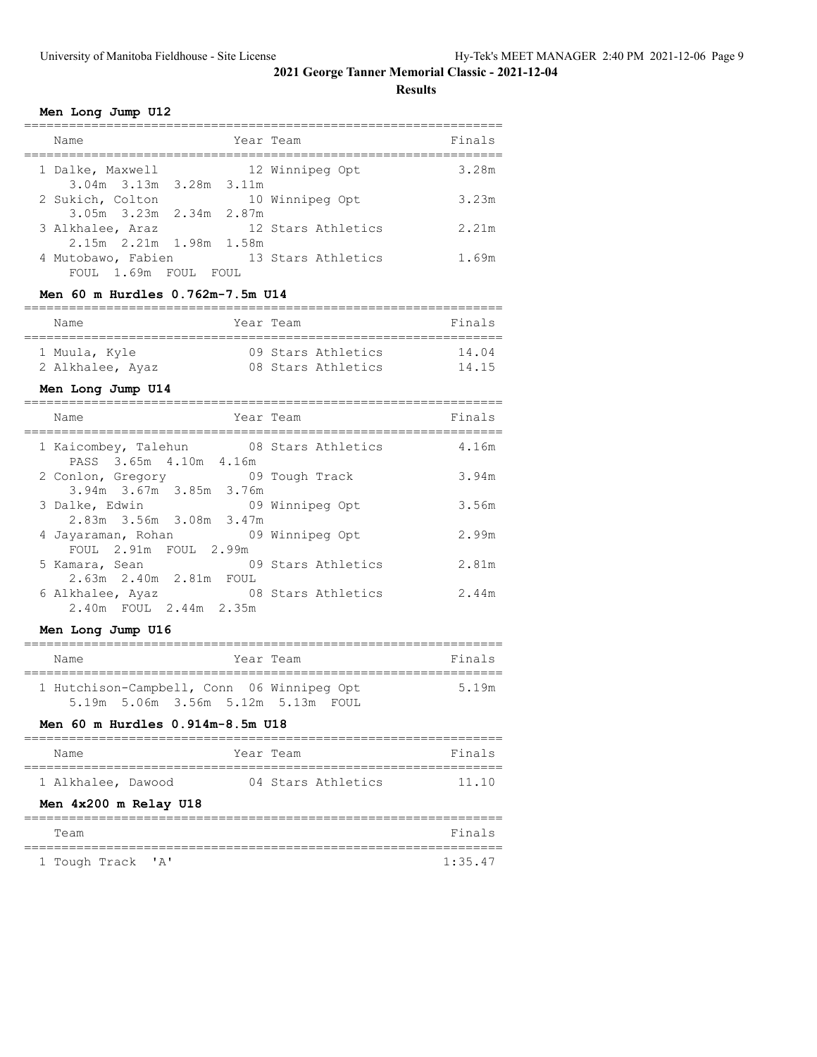**Results**

#### **Men Long Jump U12**

| Year Team<br>Name                                                                               | Finals |
|-------------------------------------------------------------------------------------------------|--------|
| 12 Winnipeg Opt<br>1 Dalke, Maxwell<br>$3.04m$ $3.13m$ $3.28m$ $3.11m$                          | 3.28m  |
| 2 Sukich, Colton<br>10 Winnipeg Opt<br>$3.05m$ $3.23m$ $2.34m$ $2.87m$                          | 3.23m  |
| 12 Stars Athletics<br>3 Alkhalee, Araz                                                          | 2.21m  |
| 2.15m 2.21m 1.98m 1.58m<br>13 Stars Athletics<br>4 Mutobawo, Fabien<br>FOUL 1.69m FOUL<br>FOUL. | 1.69m  |

# **Men 60 m Hurdles 0.762m-7.5m U14**

| Name             | Year Team |                    | Finals |
|------------------|-----------|--------------------|--------|
| 1 Muula, Kyle    |           | 09 Stars Athletics | 14.04  |
| 2 Alkhalee, Ayaz |           | 08 Stars Athletics | 14 15  |

# **Men Long Jump U14**

| Name                                                              | Year Team          | Finals |
|-------------------------------------------------------------------|--------------------|--------|
| 1 Kaicombey, Talehun 08 Stars Athletics<br>PASS 3.65m 4.10m 4.16m |                    | 4.16m  |
| 09 Tough Track<br>2 Conlon, Gregory<br>3.94m 3.67m 3.85m 3.76m    |                    | 3.94m  |
| 3 Dalke, Edwin<br>2.83m 3.56m 3.08m 3.47m                         | 09 Winnipeg Opt    | 3.56m  |
| 4 Jayaraman, Rohan 69 Winnipeg Opt<br>FOUL 2.91m FOUL 2.99m       |                    | 2.99m  |
| 5 Kamara, Sean<br>2.63m 2.40m 2.81m FOUL                          | 09 Stars Athletics | 2.81m  |
| 6 Alkhalee, Ayaz<br>2.40m FOUL 2.44m 2.35m                        | 08 Stars Athletics | 2.44m  |

#### **Men Long Jump U16**

| Name                                                                             | Year Team | Finals |
|----------------------------------------------------------------------------------|-----------|--------|
| 1 Hutchison-Campbell, Conn 06 Winnipeg Opt<br>5.19m 5.06m 3.56m 5.12m 5.13m FOUL |           | 519m   |

#### **Men 60 m Hurdles 0.914m-8.5m U18**

| Name                  | Year Team |                    | Finals |
|-----------------------|-----------|--------------------|--------|
|                       |           |                    |        |
| 1 Alkhalee, Dawood    |           | 04 Stars Athletics | 11.10  |
| Men 4x200 m Relay U18 |           |                    |        |
|                       |           |                    |        |
|                       |           |                    |        |

#### Team Finals ================================================================ 1 Tough Track 'A' 1:35.47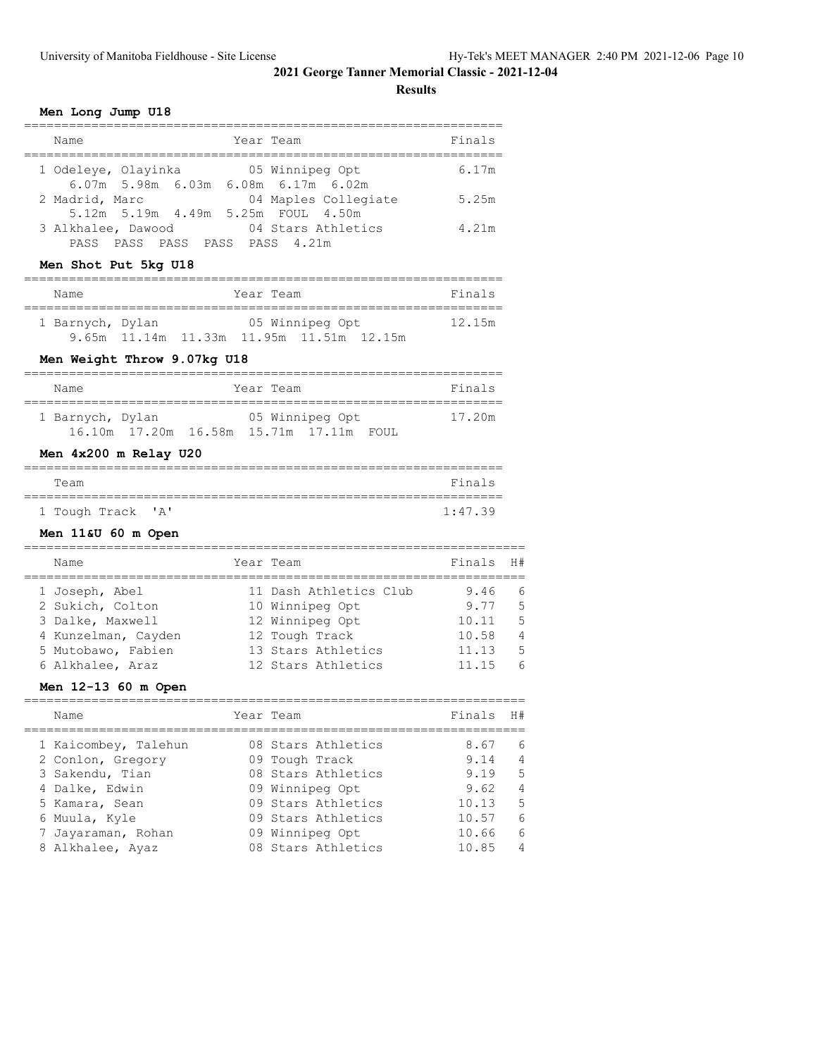**Results**

#### **Men Long Jump U18**

| Name                                                             | Year Team            | Finals |
|------------------------------------------------------------------|----------------------|--------|
| 1 Odeleye, Olayinka<br>$6.07m$ 5.98m $6.03m$ 6.08m $6.17m$ 6.02m | 05 Winnipeg Opt      | 6.17m  |
| 2 Madrid, Marc                                                   | 04 Maples Collegiate | 5.25m  |
| 5.12m 5.19m 4.49m 5.25m FOUL 4.50m<br>3 Alkhalee, Dawood         | 04 Stars Athletics   | 4.21m  |
| PASS PASS PASS PASS 4.21m<br>PASS                                |                      |        |

# **Men Shot Put 5kg U18**

| Name             |                                          | Year Team |                 | Finals |
|------------------|------------------------------------------|-----------|-----------------|--------|
| 1 Barnych, Dylan |                                          |           | 05 Winnipeg Opt | 12.15m |
|                  | 9.65m 11.14m 11.33m 11.95m 11.51m 12.15m |           |                 |        |

# **Men Weight Throw 9.07kg U18**

| Name             |  | Year Team                                                       | Finals |
|------------------|--|-----------------------------------------------------------------|--------|
| 1 Barnych, Dylan |  | 05 Winnipeg Opt<br>16.10m  17.20m  16.58m  15.71m  17.11m  FOUL | 17.20m |

#### **Men 4x200 m Relay U20**

| Team |                   |  |  | Finals  |
|------|-------------------|--|--|---------|
|      |                   |  |  |         |
|      | 1 Tough Track 'A' |  |  | 1:47.39 |

# **Men 11&U 60 m Open**

| Name                | Year Team              | Finals H# |            |
|---------------------|------------------------|-----------|------------|
|                     |                        |           |            |
| 1 Joseph, Abel      | 11 Dash Athletics Club | 9.46      | 6          |
| 2 Sukich, Colton    | 10 Winnipeg Opt        | 9.77      | -5         |
| 3 Dalke, Maxwell    | 12 Winnipeg Opt        | 10.11     | .5         |
| 4 Kunzelman, Cayden | 12 Tough Track         | 10.58     | 4          |
| 5 Mutobawo, Fabien  | 13 Stars Athletics     | 11.13     | .5         |
| 6 Alkhalee, Araz    | 12 Stars Athletics     | 11.15     | $\epsilon$ |

#### **Men 12-13 60 m Open**

|  | Name                 | Year Team          | Finals | H#             |
|--|----------------------|--------------------|--------|----------------|
|  | 1 Kaicombey, Talehun | 08 Stars Athletics | 8.67   | 6              |
|  | 2 Conlon, Gregory    | 09 Tough Track     | 9.14   | $\overline{4}$ |
|  | 3 Sakendu, Tian      | 08 Stars Athletics | 9.19   | 5              |
|  | 4 Dalke, Edwin       | 09 Winnipeg Opt    | 9.62   | 4              |
|  | 5 Kamara, Sean       | 09 Stars Athletics | 10.13  | 5              |
|  | 6 Muula, Kyle        | 09 Stars Athletics | 10.57  | 6              |
|  | 7 Jayaraman, Rohan   | 09 Winnipeg Opt    | 10.66  | 6              |
|  | 8 Alkhalee, Ayaz     | 08 Stars Athletics | 10.85  | 4              |
|  |                      |                    |        |                |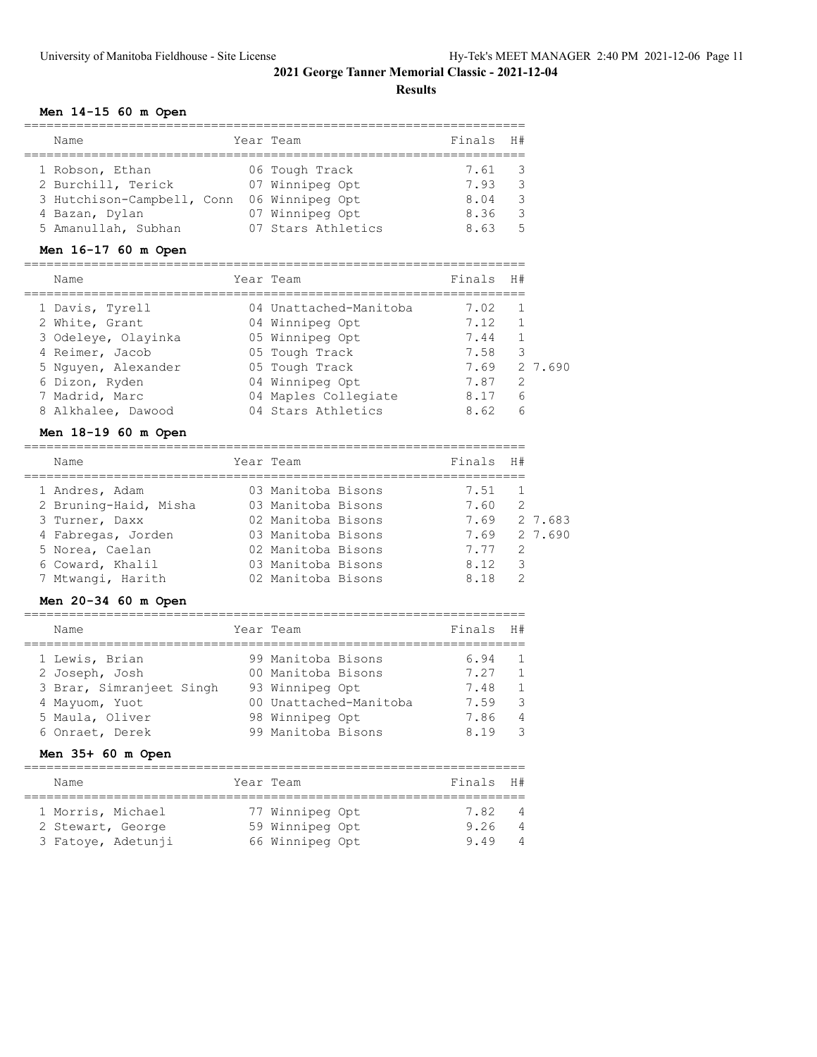**Results**

===================================================================

#### **Men 14-15 60 m Open**

| Name                       |  | Year Team          | Finals H# |               |
|----------------------------|--|--------------------|-----------|---------------|
|                            |  |                    |           |               |
| 1 Robson, Ethan            |  | 06 Tough Track     | 7.61 3    |               |
| 2 Burchill, Terick         |  | 07 Winnipeg Opt    | 7.93      |               |
| 3 Hutchison-Campbell, Conn |  | 06 Winnipeg Opt    | 8.04      | $\mathcal{R}$ |
| 4 Bazan, Dylan             |  | 07 Winnipeg Opt    | 8.36      |               |
| 5 Amanullah, Subhan        |  | 07 Stars Athletics | 8.63      | 气             |

# **Men 16-17 60 m Open**

| Name                | Year Team              | Finals | H#            |        |
|---------------------|------------------------|--------|---------------|--------|
| 1 Davis, Tyrell     | 04 Unattached-Manitoba | 7.02   |               |        |
| 2 White, Grant      | 04 Winnipeg Opt        | 7.12   |               |        |
| 3 Odeleye, Olayinka | 05 Winnipeg Opt        | 7.44   |               |        |
| 4 Reimer, Jacob     | 05 Tough Track         | 7.58   | 3             |        |
| 5 Nguyen, Alexander | 05 Tough Track         | 7.69   |               | 27.690 |
| 6 Dizon, Ryden      | 04 Winnipeg Opt        | 7.87   | $\mathcal{L}$ |        |
| 7 Madrid, Marc      | 04 Maples Collegiate   | 8.17   | 6             |        |
| 8 Alkhalee, Dawood  | 04 Stars Athletics     | 8.62   | 6             |        |

# **Men 18-19 60 m Open**

| Name                  | Year Team          | Finals | H#            |         |
|-----------------------|--------------------|--------|---------------|---------|
| 1 Andres, Adam        | 03 Manitoba Bisons | 7.51   |               |         |
| 2 Bruning-Haid, Misha | 03 Manitoba Bisons | 7.60   | $\mathcal{L}$ |         |
| 3 Turner, Daxx        | 02 Manitoba Bisons | 7.69   |               | 2 7.683 |
| 4 Fabregas, Jorden    | 03 Manitoba Bisons | 7.69   |               | 2 7.690 |
| 5 Norea, Caelan       | 02 Manitoba Bisons | 7.77   | 2             |         |
| 6 Coward, Khalil      | 03 Manitoba Bisons | 8.12   | 3             |         |
| 7 Mtwangi, Harith     | 02 Manitoba Bisons | 8.18   | 2             |         |

# **Men 20-34 60 m Open**

| Name                              | Year Team                                 | Finals       | H#                               |
|-----------------------------------|-------------------------------------------|--------------|----------------------------------|
| 1 Lewis, Brian<br>2 Joseph, Josh  | 99 Manitoba Bisons<br>00 Manitoba Bisons  | 6.94<br>7.27 | $\overline{1}$<br>$\overline{1}$ |
| 3 Brar, Simranjeet Singh          | 93 Winnipeg Opt                           | 7.48         | $\mathbf{1}$                     |
| 4 Mayuom, Yuot<br>5 Maula, Oliver | 00 Unattached-Manitoba<br>98 Winnipeg Opt | 7.59<br>7.86 | 3<br>4                           |
| 6 Onraet, Derek                   | 99 Manitoba Bisons                        | 8.19         | -3                               |

#### **Men 35+ 60 m Open**

| Name                                                         | Year Team                                             | Finals H#            |                          |
|--------------------------------------------------------------|-------------------------------------------------------|----------------------|--------------------------|
| 1 Morris, Michael<br>2 Stewart, George<br>3 Fatoye, Adetunji | 77 Winnipeg Opt<br>59 Winnipeg Opt<br>66 Winnipeg Opt | 7.82<br>9.26<br>9.49 | $\overline{4}$<br>4<br>4 |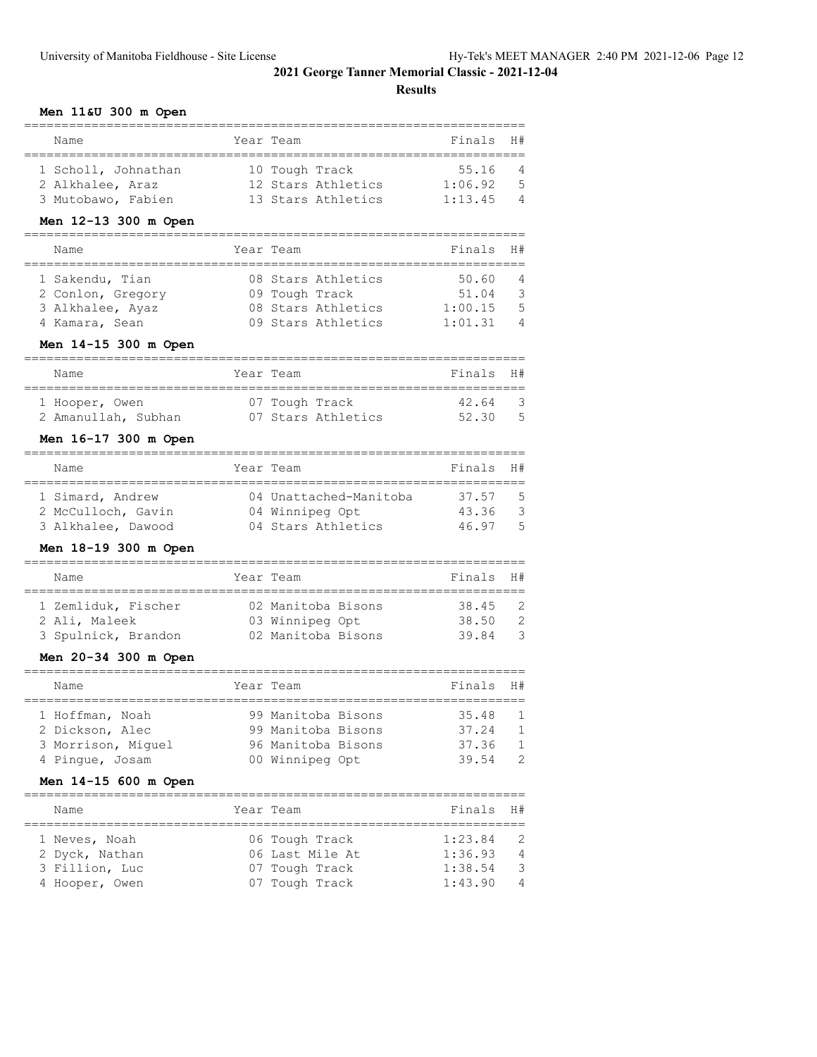**Results**

#### **Men 11&U 300 m Open**

| Name                                    |           | Year Team              | Finals  | H#           |
|-----------------------------------------|-----------|------------------------|---------|--------------|
| 1 Scholl, Johnathan                     |           | 10 Tough Track         | 55.16   | 4            |
| 2 Alkhalee, Araz                        |           | 12 Stars Athletics     | 1:06.92 | 5            |
| 3 Mutobawo, Fabien                      |           | 13 Stars Athletics     | 1:13.45 | 4            |
| Men 12-13 300 m Open                    |           |                        |         |              |
| Name                                    |           | Year Team              | Finals  | H#           |
| 1 Sakendu, Tian                         |           | 08 Stars Athletics     | 50.60   | 4            |
| 2 Conlon, Gregory                       |           | 09 Tough Track         | 51.04   | 3            |
| 3 Alkhalee, Ayaz                        |           | 08 Stars Athletics     | 1:00.15 | 5            |
| 4 Kamara, Sean                          |           | 09 Stars Athletics     | 1:01.31 | 4            |
| Men 14-15 300 m Open                    |           |                        |         |              |
| Name                                    |           | Year Team              | Finals  | H#           |
| 1 Hooper, Owen                          |           | 07 Tough Track         | 42.64   | 3            |
| 2 Amanullah, Subhan                     |           | 07 Stars Athletics     | 52.30   | 5            |
| Men 16-17 300 m Open                    |           |                        |         |              |
| Name                                    |           | Year Team              | Finals  | H#           |
| ======================                  | --------- |                        |         |              |
| 1 Simard, Andrew                        |           | 04 Unattached-Manitoba | 37.57   | 5            |
| 2 McCulloch, Gavin                      |           | 04 Winnipeg Opt        | 43.36   | 3            |
| 3 Alkhalee, Dawood                      |           | 04 Stars Athletics     | 46.97   | 5            |
| Men 18-19 300 m Open<br>=============== |           |                        |         |              |
| Name<br>============                    |           | Year Team              | Finals  | H#           |
| 1 Zemliduk, Fischer                     |           | 02 Manitoba Bisons     | 38.45   | 2            |
| 2 Ali, Maleek                           |           | 03 Winnipeg Opt        | 38.50   | 2            |
| 3 Spulnick, Brandon                     |           | 02 Manitoba Bisons     | 39.84   | 3            |
| Men 20-34 300 m Open                    |           |                        |         |              |
| .================<br>Name               |           | Year Team              | Finals  | H#           |
| 1 Hoffman, Noah                         |           | 99 Manitoba Bisons     | 35.48   | 1            |
| 2 Dickson, Alec                         |           | 99 Manitoba Bisons     | 37.24   | 1            |
| 3 Morrison, Miguel                      |           | 96 Manitoba Bisons     | 37.36   | $\mathbf{1}$ |
| 4 Pingue, Josam                         |           | 00 Winnipeg Opt        | 39.54   | 2            |
| Men 14-15 600 m Open                    |           |                        |         |              |
| Name                                    |           | Year Team              | Finals  | H#           |
| 1 Neves, Noah                           |           | 06 Tough Track         | 1:23.84 | 2            |
| 2 Dyck, Nathan                          |           | 06 Last Mile At        | 1:36.93 | 4            |
| 3 Fillion, Luc                          |           | 07 Tough Track         | 1:38.54 | 3            |
| 4 Hooper, Owen                          |           | 07 Tough Track         | 1:43.90 | 4            |

===================================================================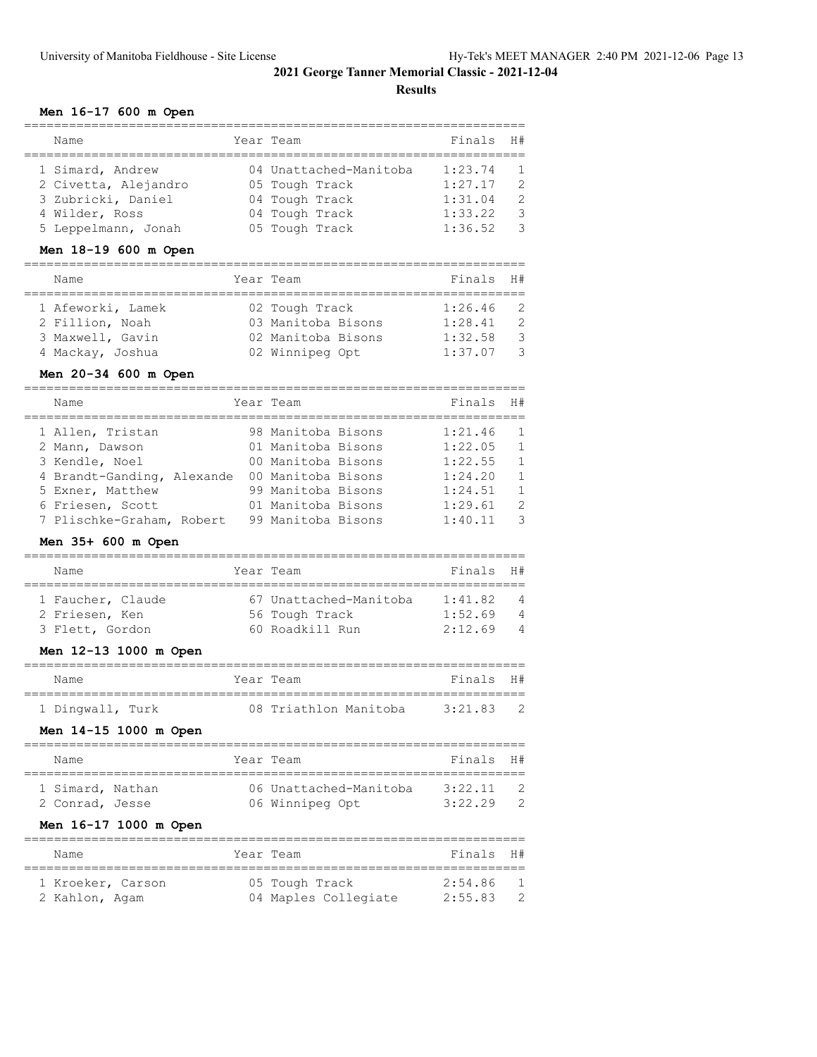**Results**

#### **Men 16-17 600 m Open**

| Name                 | Year Team              | Finals H# |                |
|----------------------|------------------------|-----------|----------------|
|                      |                        |           |                |
| 1 Simard, Andrew     | 04 Unattached-Manitoba | 1:23.74   | $\overline{1}$ |
| 2 Civetta, Alejandro | 05 Tough Track         | 1:27.17   | $\mathcal{L}$  |
| 3 Zubricki, Daniel   | 04 Tough Track         | 1:31.04   | $\mathcal{L}$  |
| 4 Wilder, Ross       | 04 Tough Track         | 1:33.22   | 3              |
| 5 Leppelmann, Jonah  | 05 Tough Track         | 1:36.52   | $\mathcal{R}$  |

# **Men 18-19 600 m Open**

| Name              | Year Team          | Finals H#   |               |
|-------------------|--------------------|-------------|---------------|
| 1 Afeworki, Lamek | 02 Tough Track     | $1:26.46$ 2 |               |
| 2 Fillion, Noah   | 03 Manitoba Bisons | 1:28.41     | - 2           |
| 3 Maxwell, Gavin  | 02 Manitoba Bisons | 1:32.58     | - 3           |
| 4 Mackay, Joshua  | 02 Winnipeg Opt    | 1:37.07     | $\mathcal{R}$ |

# **Men 20-34 600 m Open**

| Name                                           | Year Team                                | Finals             | H#                             |
|------------------------------------------------|------------------------------------------|--------------------|--------------------------------|
| 1 Allen, Tristan<br>2 Mann, Dawson             | 98 Manitoba Bisons<br>01 Manitoba Bisons | 1:21.46<br>1:22.05 | $\overline{1}$<br>$\mathbf{1}$ |
| 3 Kendle, Noel                                 | 00 Manitoba Bisons                       | 1:22.55            | $\mathbf{1}$                   |
| 4 Brandt-Ganding, Alexande<br>5 Exner, Matthew | 00 Manitoba Bisons<br>99 Manitoba Bisons | 1:24.20<br>1:24.51 | $\mathbf{1}$<br>$\mathbf{1}$   |
| 6 Friesen, Scott<br>7 Plischke-Graham, Robert  | 01 Manitoba Bisons<br>99 Manitoba Bisons | 1:29.61<br>1:40.11 | $\mathcal{L}$<br>्र            |

#### **Men 35+ 600 m Open**

| Name |                                                        | Finals H#                                                                |                |
|------|--------------------------------------------------------|--------------------------------------------------------------------------|----------------|
|      |                                                        | 1:41.82                                                                  | $\overline{4}$ |
|      |                                                        | 1:52.69                                                                  | $\overline{4}$ |
|      |                                                        | 2:12.69                                                                  | $\overline{4}$ |
|      | 1 Faucher, Claude<br>2 Friesen, Ken<br>3 Flett, Gordon | Year Team<br>67 Unattached-Manitoba<br>56 Tough Track<br>60 Roadkill Run |                |

#### **Men 12-13 1000 m Open**

| Name             |  | Year Team             | Finals H# |  |
|------------------|--|-----------------------|-----------|--|
| 1 Dingwall, Turk |  | 08 Triathlon Manitoba | 3:21.83   |  |

# **Men 14-15 1000 m Open**

| Name             | Year Team |                        | Finals H# |  |
|------------------|-----------|------------------------|-----------|--|
|                  |           |                        |           |  |
| 1 Simard, Nathan |           | 06 Unattached-Manitoba | 3:22.11   |  |
| 2 Conrad, Jesse  |           | 06 Winnipeg Opt        | 3:22.29   |  |
|                  |           |                        |           |  |

#### **Men 16-17 1000 m Open**

| Name              | Year Team            | Finals H# |   |
|-------------------|----------------------|-----------|---|
| 1 Kroeker, Carson | 05 Tough Track       | 2:54.86   |   |
| 2 Kahlon, Agam    | 04 Maples Collegiate | 2:55.83   | 2 |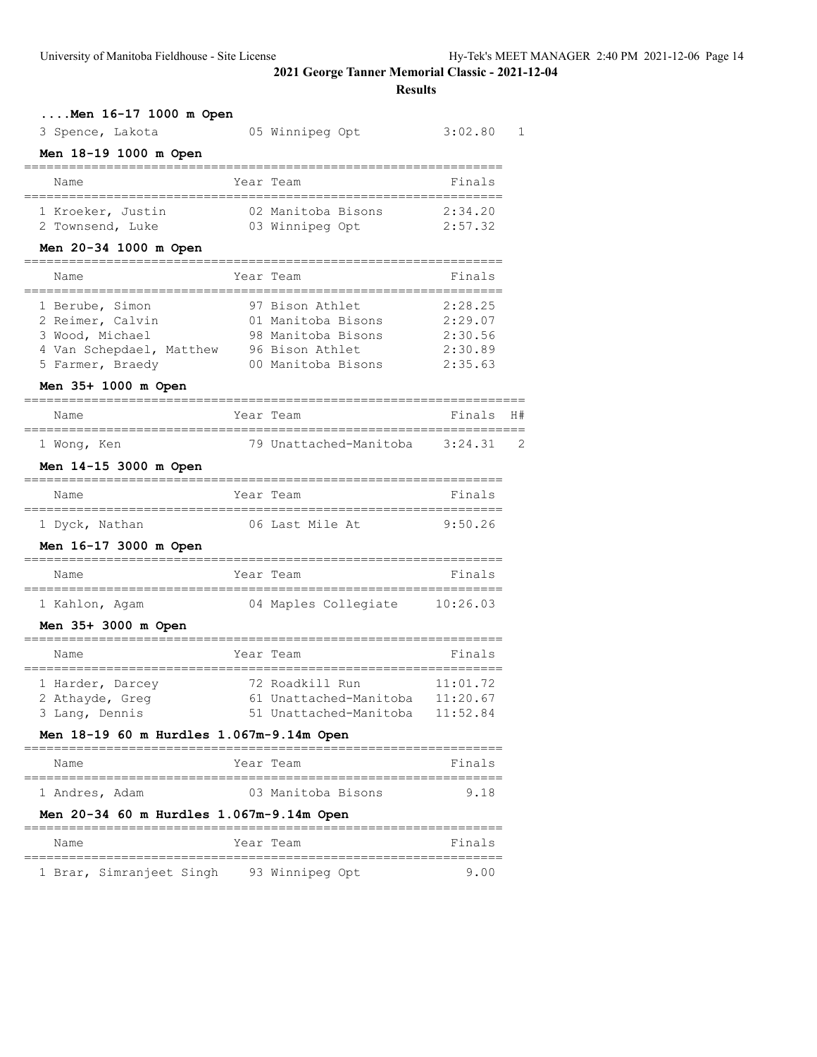| Men 16-17 1000 m Open                                                                                                         |      |                                                                                                      |                                                     |    |
|-------------------------------------------------------------------------------------------------------------------------------|------|------------------------------------------------------------------------------------------------------|-----------------------------------------------------|----|
| 3 Spence, Lakota                                                                                                              |      | 05 Winnipeg Opt                                                                                      | 3:02.80                                             | 1  |
| Men 18-19 1000 m Open                                                                                                         |      |                                                                                                      |                                                     |    |
| Name<br>=====================================                                                                                 |      | Year Team<br>============================                                                            | Finals                                              |    |
| 1 Kroeker, Justin<br>2 Townsend, Luke                                                                                         |      | 02 Manitoba Bisons<br>03 Winnipeg Opt                                                                | 2:34.20<br>2:57.32                                  |    |
| Men 20-34 1000 m Open<br>==============                                                                                       |      |                                                                                                      |                                                     |    |
| Name<br>======================================                                                                                | Year | Team                                                                                                 | Finals                                              |    |
| 1 Berube, Simon<br>2 Reimer, Calvin<br>3 Wood, Michael<br>4 Van Schepdael, Matthew<br>5 Farmer, Braedy<br>Men 35+ 1000 m Open |      | 97 Bison Athlet<br>01 Manitoba Bisons<br>98 Manitoba Bisons<br>96 Bison Athlet<br>00 Manitoba Bisons | 2:28.25<br>2:29.07<br>2:30.56<br>2:30.89<br>2:35.63 |    |
| Name                                                                                                                          |      | Year Team                                                                                            | Finals                                              | H# |
| 1 Wong, Ken                                                                                                                   |      | 79 Unattached-Manitoba 3:24.31                                                                       |                                                     | 2  |
| Men 14-15 3000 m Open<br>====================================                                                                 |      |                                                                                                      |                                                     |    |
| Name                                                                                                                          |      | Year Team                                                                                            | Finals                                              |    |
| 1 Dyck, Nathan                                                                                                                |      | 06 Last Mile At                                                                                      | 9:50.26                                             |    |
| Men 16-17 3000 m Open                                                                                                         |      |                                                                                                      |                                                     |    |
| Name                                                                                                                          |      | Year Team                                                                                            | Finals                                              |    |
| 1 Kahlon, Agam<br>Men 35+ 3000 m Open                                                                                         |      | 04 Maples Collegiate 10:26.03                                                                        |                                                     |    |
| Name                                                                                                                          |      | Year Team                                                                                            | Finals                                              |    |
| 1 Harder, Darcey<br>2 Athayde, Greg<br>3 Lang, Dennis                                                                         |      | 72 Roadkill Run<br>61 Unattached-Manitoba<br>51 Unattached-Manitoba                                  | 11:01.72<br>11:20.67<br>11:52.84                    |    |
| Men 18-19 60 m Hurdles 1.067m-9.14m Open                                                                                      |      |                                                                                                      |                                                     |    |
| Name                                                                                                                          |      | Year Team                                                                                            | Finals                                              |    |
| 1 Andres, Adam<br>Men 20-34 60 m Hurdles 1.067m-9.14m Open                                                                    |      | 03 Manitoba Bisons                                                                                   | 9.18                                                |    |
| Name                                                                                                                          |      | Year Team                                                                                            | Finals                                              |    |
| 1 Brar, Simranjeet Singh                                                                                                      |      | 93 Winnipeg Opt                                                                                      | 9.00                                                |    |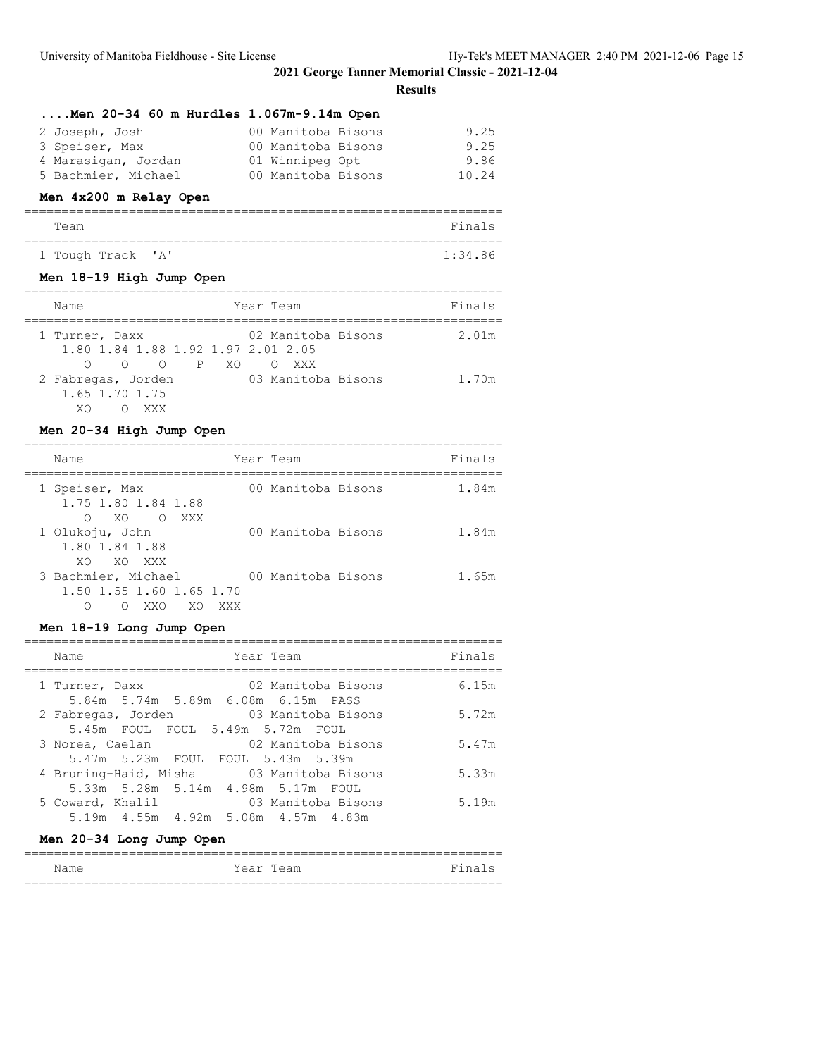# **Results**

| $Men$ 20-34 60 m Hurdles $1.067m-9.14m$ Open |                    |       |
|----------------------------------------------|--------------------|-------|
| 2 Joseph, Josh                               | 00 Manitoba Bisons | 9.25  |
| 3 Speiser, Max                               | 00 Manitoba Bisons | 9.25  |
| 4 Marasigan, Jordan                          | 01 Winnipeg Opt    | 9.86  |
| 5 Bachmier, Michael                          | 00 Manitoba Bisons | 10.24 |

# **Men 4x200 m Relay Open**

| Team |                   |  |  | Finals  |
|------|-------------------|--|--|---------|
|      |                   |  |  |         |
|      | 1 Tough Track 'A' |  |  | 1:34.86 |

#### **Men 18-19 High Jump Open**

| Name                                                                          | Year Team                   | Finals |
|-------------------------------------------------------------------------------|-----------------------------|--------|
| 1 Turner, Daxx<br>1.80 1.84 1.88 1.92 1.97 2.01 2.05<br>O PXO<br>$\circ$<br>∩ | 02 Manitoba Bisons<br>O XXX | 2.01m  |
| 2 Fabregas, Jorden<br>1.65 1.70 1.75<br>XXX<br>XΛ                             | 03 Manitoba Bisons          | 1.70m  |

#### **Men 20-34 High Jump Open**

| Name                                                                     | Year Team          | Finals |
|--------------------------------------------------------------------------|--------------------|--------|
| 1 Speiser, Max<br>1.75 1.80 1.84 1.88<br>0 XO OXXX                       | 00 Manitoba Bisons | 1.84m  |
| 1 Olukoju, John<br>1.80 1.84 1.88<br>XO XO XXX                           | 00 Manitoba Bisons | 1.84m  |
| 3 Bachmier, Michael<br>1.50 1.55 1.60 1.65 1.70<br>XXO<br>XO<br>∩<br>XXX | 00 Manitoba Bisons | 1.65m  |

#### **Men 18-19 Long Jump Open**

| Finals<br>Year Team<br>Name<br>6.15m<br>02 Manitoba Bisons<br>1 Turner, Daxx<br>5.84m 5.74m 5.89m 6.08m 6.15m PASS<br>5.72m<br>2 Fabregas, Jorden 63 Manitoba Bisons<br>5.45m FOUL FOUL 5.49m 5.72m FOUL<br>02 Manitoba Bisons<br>5.47m<br>3 Norea, Caelan<br>5.47m 5.23m FOUL FOUL 5.43m 5.39m<br>4 Bruning-Haid, Misha 03 Manitoba Bisons<br>5.33m<br>5.33m 5.28m 5.14m 4.98m 5.17m FOUL<br>03 Manitoba Bisons<br>5.19m<br>5 Coward, Khalil<br>5.19m  4.55m  4.92m  5.08m  4.57m  4.83m |  |  |
|-------------------------------------------------------------------------------------------------------------------------------------------------------------------------------------------------------------------------------------------------------------------------------------------------------------------------------------------------------------------------------------------------------------------------------------------------------------------------------------------|--|--|
|                                                                                                                                                                                                                                                                                                                                                                                                                                                                                           |  |  |
|                                                                                                                                                                                                                                                                                                                                                                                                                                                                                           |  |  |
|                                                                                                                                                                                                                                                                                                                                                                                                                                                                                           |  |  |
|                                                                                                                                                                                                                                                                                                                                                                                                                                                                                           |  |  |
|                                                                                                                                                                                                                                                                                                                                                                                                                                                                                           |  |  |
|                                                                                                                                                                                                                                                                                                                                                                                                                                                                                           |  |  |

# **Men 20-34 Long Jump Open**

| Name | Year Team | Finals |
|------|-----------|--------|
|      |           |        |